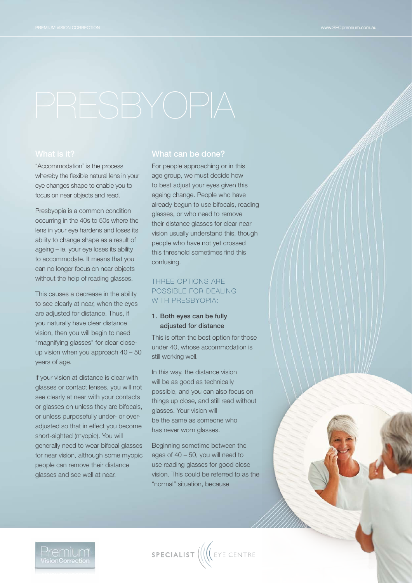"Accommodation" is the process whereby the flexible natural lens in your eye changes shape to enable you to focus on near objects and read.

Presbyopia is a common condition occurring in the 40s to 50s where the lens in your eye hardens and loses its ability to change shape as a result of ageing – ie. your eye loses its ability to accommodate. It means that you can no longer focus on near objects without the help of reading glasses.

This causes a decrease in the ability to see clearly at near, when the eyes are adjusted for distance. Thus, if you naturally have clear distance vision, then you will begin to need "magnifying glasses" for clear closeup vision when you approach 40 – 50 years of age.

If your vision at distance is clear with glasses or contact lenses, you will not see clearly at near with your contacts or glasses on unless they are bifocals, or unless purposefully under- or overadjusted so that in effect you become short-sighted (myopic). You will generally need to wear bifocal glasses for near vision, although some myopic people can remove their distance glasses and see well at near.

# What can be done?

For people approaching or in this age group, we must decide how to best adjust your eyes given this ageing change. People who have already begun to use bifocals, reading glasses, or who need to remove their distance glasses for clear near vision usually understand this, though people who have not yet crossed this threshold sometimes find this confusing.

# Three options are possible for dealing WITH PRESBYOPIA:

### 1. Both eyes can be fully adjusted for distance

This is often the best option for those under 40, whose accommodation is still working well.

In this way, the distance vision will be as good as technically possible, and you can also focus on things up close, and still read without glasses. Your vision will be the same as someone who has never worn glasses.

Beginning sometime between the ages of 40 – 50, you will need to use reading glasses for good close vision. This could be referred to as the "normal" situation, because



SPECIALIST (((CEYE CENTRE